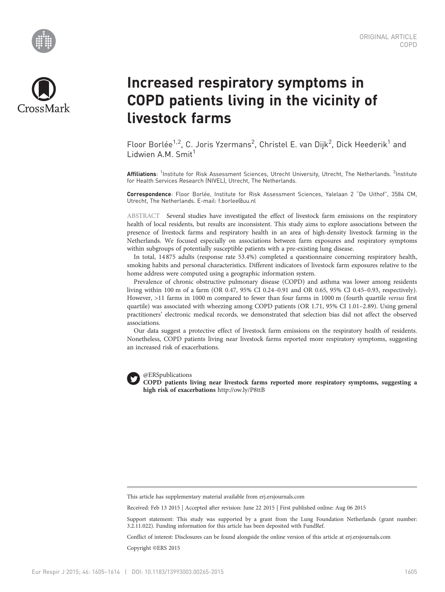



# Increased respiratory symptoms in COPD patients living in the vicinity of livestock farms

Floor Borlée<sup>1,2</sup>, C. Joris Yzermans<sup>2</sup>, Christel E. van Dijk<sup>2</sup>, Dick Heederik<sup>1</sup> and Lidwien A.M. Smit<sup>1</sup>

**Affiliations**: <sup>1</sup>Institute for Risk Assessment Sciences, Utrecht University, Utrecht, The Netherlands. <sup>2</sup>Institute for Health Services Research (NIVEL), Utrecht, The Netherlands.

Correspondence: Floor Borlée, Institute for Risk Assessment Sciences, Yalelaan 2 "De Uithof", 3584 CM, Utrecht, The Netherlands. E-mail: [f.borlee@uu.nl](mailto:f.borlee@uu.nl)

ABSTRACT Several studies have investigated the effect of livestock farm emissions on the respiratory health of local residents, but results are inconsistent. This study aims to explore associations between the presence of livestock farms and respiratory health in an area of high-density livestock farming in the Netherlands. We focused especially on associations between farm exposures and respiratory symptoms within subgroups of potentially susceptible patients with a pre-existing lung disease.

In total, 14 875 adults (response rate 53.4%) completed a questionnaire concerning respiratory health, smoking habits and personal characteristics. Different indicators of livestock farm exposures relative to the home address were computed using a geographic information system.

Prevalence of chronic obstructive pulmonary disease (COPD) and asthma was lower among residents living within 100 m of a farm (OR 0.47, 95% CI 0.24–0.91 and OR 0.65, 95% CI 0.45–0.93, respectively). However, >11 farms in 1000 m compared to fewer than four farms in 1000 m (fourth quartile versus first quartile) was associated with wheezing among COPD patients (OR 1.71, 95% CI 1.01–2.89). Using general practitioners' electronic medical records, we demonstrated that selection bias did not affect the observed associations.

Our data suggest a protective effect of livestock farm emissions on the respiratory health of residents. Nonetheless, COPD patients living near livestock farms reported more respiratory symptoms, suggesting an increased risk of exacerbations.



COPD patients living near livestock farms reported more respiratory symptoms, suggesting a high risk of exacerbations <http://ow.ly/P8ttB>

This article has supplementary material available from<erj.ersjournals.com>

Received: Feb 13 2015 | Accepted after revision: June 22 2015 | First published online: Aug 06 2015

Support statement: This study was supported by a grant from the Lung Foundation Netherlands (grant number: 3.2.11.022). Funding information for this article has been deposited with [FundRef.](http://www.crossref.org/fundref/)

Conflict of interest: Disclosures can be found alongside the online version of this article at<erj.ersjournals.com>

Copyright ©ERS 2015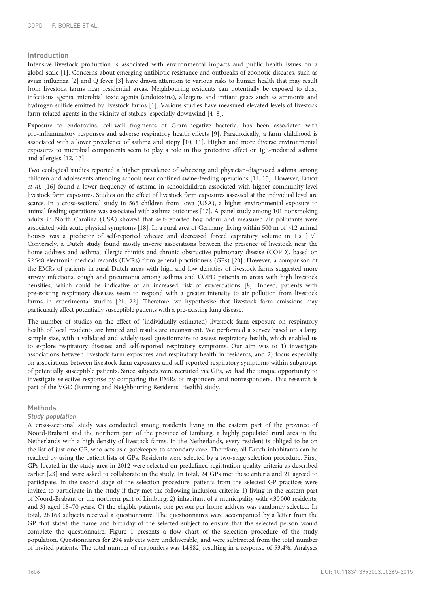# Introduction

Intensive livestock production is associated with environmental impacts and public health issues on a global scale [\[1\]](#page-8-0). Concerns about emerging antibiotic resistance and outbreaks of zoonotic diseases, such as avian influenza [[2](#page-8-0)] and Q fever [[3](#page-8-0)] have drawn attention to various risks to human health that may result from livestock farms near residential areas. Neighbouring residents can potentially be exposed to dust, infectious agents, microbial toxic agents (endotoxins), allergens and irritant gases such as ammonia and hydrogen sulfide emitted by livestock farms [[1\]](#page-8-0). Various studies have measured elevated levels of livestock farm-related agents in the vicinity of stables, especially downwind [[4](#page-8-0)–[8\]](#page-8-0).

Exposure to endotoxins, cell-wall fragments of Gram-negative bacteria, has been associated with pro-inflammatory responses and adverse respiratory health effects [\[9\]](#page-9-0). Paradoxically, a farm childhood is associated with a lower prevalence of asthma and atopy [[10](#page-9-0), [11\]](#page-9-0). Higher and more diverse environmental exposures to microbial components seem to play a role in this protective effect on IgE-mediated asthma and allergies [[12](#page-9-0), [13\]](#page-9-0).

Two ecological studies reported a higher prevalence of wheezing and physician-diagnosed asthma among children and adolescents attending schools near confined swine-feeding operations [\[14, 15\]](#page-9-0). However, ELLIOT et al. [\[16\]](#page-9-0) found a lower frequency of asthma in schoolchildren associated with higher community-level livestock farm exposures. Studies on the effect of livestock farm exposures assessed at the individual level are scarce. In a cross-sectional study in 565 children from Iowa (USA), a higher environmental exposure to animal feeding operations was associated with asthma outcomes [[17](#page-9-0)]. A panel study among 101 nonsmoking adults in North Carolina (USA) showed that self-reported hog odour and measured air pollutants were associated with acute physical symptoms [\[18\]](#page-9-0). In a rural area of Germany, living within 500 m of >12 animal houses was a predictor of self-reported wheeze and decreased forced expiratory volume in 1 s [[19](#page-9-0)]. Conversely, a Dutch study found mostly inverse associations between the presence of livestock near the home address and asthma, allergic rhinitis and chronic obstructive pulmonary disease (COPD), based on 92548 electronic medical records (EMRs) from general practitioners (GPs) [\[20\]](#page-9-0). However, a comparison of the EMRs of patients in rural Dutch areas with high and low densities of livestock farms suggested more airway infections, cough and pneumonia among asthma and COPD patients in areas with high livestock densities, which could be indicative of an increased risk of exacerbations [\[8](#page-8-0)]. Indeed, patients with pre-existing respiratory diseases seem to respond with a greater intensity to air pollution from livestock farms in experimental studies [[21](#page-9-0), [22\]](#page-9-0). Therefore, we hypothesise that livestock farm emissions may particularly affect potentially susceptible patients with a pre-existing lung disease.

The number of studies on the effect of (individually estimated) livestock farm exposure on respiratory health of local residents are limited and results are inconsistent. We performed a survey based on a large sample size, with a validated and widely used questionnaire to assess respiratory health, which enabled us to explore respiratory diseases and self-reported respiratory symptoms. Our aim was to 1) investigate associations between livestock farm exposures and respiratory health in residents; and 2) focus especially on associations between livestock farm exposures and self-reported respiratory symptoms within subgroups of potentially susceptible patients. Since subjects were recruited via GPs, we had the unique opportunity to investigate selective response by comparing the EMRs of responders and nonresponders. This research is part of the VGO (Farming and Neighbouring Residents' Health) study.

# Methods

#### Study population

A cross-sectional study was conducted among residents living in the eastern part of the province of Noord-Brabant and the northern part of the province of Limburg, a highly populated rural area in the Netherlands with a high density of livestock farms. In the Netherlands, every resident is obliged to be on the list of just one GP, who acts as a gatekeeper to secondary care. Therefore, all Dutch inhabitants can be reached by using the patient lists of GPs. Residents were selected by a two-stage selection procedure. First, GPs located in the study area in 2012 were selected on predefined registration quality criteria as described earlier [\[23\]](#page-9-0) and were asked to collaborate in the study. In total, 24 GPs met these criteria and 21 agreed to participate. In the second stage of the selection procedure, patients from the selected GP practices were invited to participate in the study if they met the following inclusion criteria: 1) living in the eastern part of Noord-Brabant or the northern part of Limburg; 2) inhabitant of a municipality with <30 000 residents; and 3) aged 18–70 years. Of the eligible patients, one person per home address was randomly selected. In total, 28 163 subjects received a questionnaire. The questionnaires were accompanied by a letter from the GP that stated the name and birthday of the selected subject to ensure that the selected person would complete the questionnaire. [Figure 1](#page-2-0) presents a flow chart of the selection procedure of the study population. Questionnaires for 294 subjects were undeliverable, and were subtracted from the total number of invited patients. The total number of responders was 14 882, resulting in a response of 53.4%. Analyses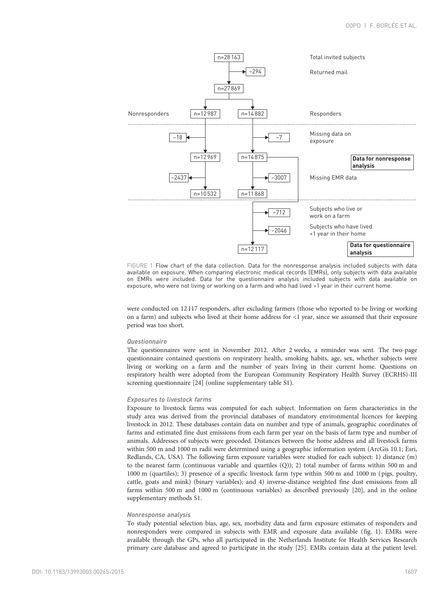<span id="page-2-0"></span>

FIGURE 1 Flow chart of the data collection. Data for the nonresponse analysis included subjects with data available on exposure. When comparing electronic medical records (EMRs), only subjects with data available on EMRs were included. Data for the questionnaire analysis included subjects with data available on exposure, who were not living or working on a farm and who had lived >1 year in their current home.

were conducted on 12117 responders, after excluding farmers (those who reported to be living or working on a farm) and subjects who lived at their home address for <1 year, since we assumed that their exposure period was too short.

#### **Questionnaire**

The questionnaires were sent in November 2012. After 2 weeks, a reminder was sent. The two-page questionnaire contained questions on respiratory health, smoking habits, age, sex, whether subjects were living or working on a farm and the number of years living in their current home. Questions on respiratory health were adopted from the European Community Respiratory Health Survey (ECRHS)-III screening questionnaire [[24\]](#page-9-0) (online supplementary table S1).

#### Exposures to livestock farms

Exposure to livestock farms was computed for each subject. Information on farm characteristics in the study area was derived from the provincial databases of mandatory environmental licences for keeping livestock in 2012. These databases contain data on number and type of animals, geographic coordinates of farms and estimated fine dust emissions from each farm per year on the basis of farm type and number of animals. Addresses of subjects were geocoded. Distances between the home address and all livestock farms within 500 m and 1000 m radii were determined using a geographic information system (ArcGis 10.1; Esri, Redlands, CA, USA). The following farm exposure variables were studied for each subject: 1) distance (m) to the nearest farm (continuous variable and quartiles (Q)); 2) total number of farms within 500 m and 1000 m (quartiles); 3) presence of a specific livestock farm type within 500 m and 1000 m ( pigs, poultry, cattle, goats and mink) (binary variables); and 4) inverse-distance weighted fine dust emissions from all farms within 500 m and 1000 m (continuous variables) as described previously [[20](#page-9-0)], and in the online supplementary methods S1.

#### Nonresponse analysis

To study potential selection bias, age, sex, morbidity data and farm exposure estimates of responders and nonresponders were compared in subjects with EMR and exposure data available (fig. 1). EMRs were available through the GPs, who all participated in the Netherlands Institute for Health Services Research primary care database and agreed to participate in the study [\[25\]](#page-9-0). EMRs contain data at the patient level.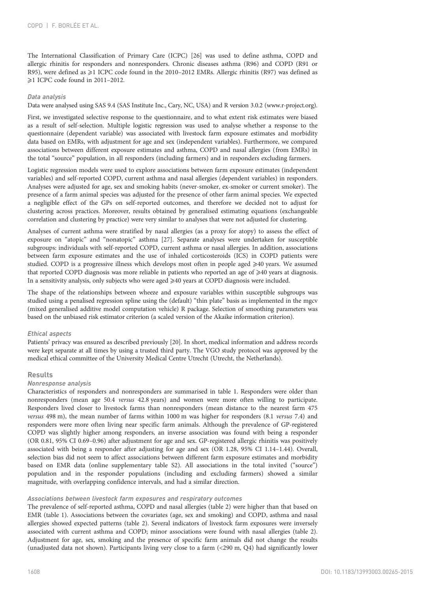The International Classification of Primary Care (ICPC) [[26](#page-9-0)] was used to define asthma, COPD and allergic rhinitis for responders and nonresponders. Chronic diseases asthma (R96) and COPD (R91 or R95), were defined as ≥1 ICPC code found in the 2010–2012 EMRs. Allergic rhinitis (R97) was defined as ⩾1 ICPC code found in 2011–2012.

## Data analysis

Data were analysed using SAS 9.4 (SAS Institute Inc., Cary, NC, USA) and R version 3.0.2 [\(www.r-project.org](http://www.r-project.org)).

First, we investigated selective response to the questionnaire, and to what extent risk estimates were biased as a result of self-selection. Multiple logistic regression was used to analyse whether a response to the questionnaire (dependent variable) was associated with livestock farm exposure estimates and morbidity data based on EMRs, with adjustment for age and sex (independent variables). Furthermore, we compared associations between different exposure estimates and asthma, COPD and nasal allergies (from EMRs) in the total "source" population, in all responders (including farmers) and in responders excluding farmers.

Logistic regression models were used to explore associations between farm exposure estimates (independent variables) and self-reported COPD, current asthma and nasal allergies (dependent variables) in responders. Analyses were adjusted for age, sex and smoking habits (never-smoker, ex-smoker or current smoker). The presence of a farm animal species was adjusted for the presence of other farm animal species. We expected a negligible effect of the GPs on self-reported outcomes, and therefore we decided not to adjust for clustering across practices. Moreover, results obtained by generalised estimating equations (exchangeable correlation and clustering by practice) were very similar to analyses that were not adjusted for clustering.

Analyses of current asthma were stratified by nasal allergies (as a proxy for atopy) to assess the effect of exposure on "atopic" and "nonatopic" asthma [\[27\]](#page-9-0). Separate analyses were undertaken for susceptible subgroups: individuals with self-reported COPD, current asthma or nasal allergies. In addition, associations between farm exposure estimates and the use of inhaled corticosteroids (ICS) in COPD patients were studied. COPD is a progressive illness which develops most often in people aged ≥40 years. We assumed that reported COPD diagnosis was more reliable in patients who reported an age of  $\geq 40$  years at diagnosis. In a sensitivity analysis, only subjects who were aged ≥40 years at COPD diagnosis were included.

The shape of the relationships between wheeze and exposure variables within susceptible subgroups was studied using a penalised regression spline using the (default) "thin plate" basis as implemented in the mgcv (mixed generalised additive model computation vehicle) R package. Selection of smoothing parameters was based on the unbiased risk estimator criterion (a scaled version of the Akaike information criterion).

# Ethical aspects

Patients' privacy was ensured as described previously [\[20\]](#page-9-0). In short, medical information and address records were kept separate at all times by using a trusted third party. The VGO study protocol was approved by the medical ethical committee of the University Medical Centre Utrecht (Utrecht, the Netherlands).

## Results

#### Nonresponse analysis

Characteristics of responders and nonresponders are summarised in [table 1.](#page-4-0) Responders were older than nonresponders (mean age 50.4 versus 42.8 years) and women were more often willing to participate. Responders lived closer to livestock farms than nonresponders (mean distance to the nearest farm 475 versus 498 m), the mean number of farms within 1000 m was higher for responders (8.1 versus 7.4) and responders were more often living near specific farm animals. Although the prevalence of GP-registered COPD was slightly higher among responders, an inverse association was found with being a responder (OR 0.81, 95% CI 0.69–0.96) after adjustment for age and sex. GP-registered allergic rhinitis was positively associated with being a responder after adjusting for age and sex (OR 1.28, 95% CI 1.14–1.44). Overall, selection bias did not seem to affect associations between different farm exposure estimates and morbidity based on EMR data (online supplementary table S2). All associations in the total invited ("source") population and in the responder populations (including and excluding farmers) showed a similar magnitude, with overlapping confidence intervals, and had a similar direction.

# Associations between livestock farm exposures and respiratory outcomes

The prevalence of self-reported asthma, COPD and nasal allergies ([table 2](#page-5-0)) were higher than that based on EMR ([table 1](#page-4-0)). Associations between the covariates (age, sex and smoking) and COPD, asthma and nasal allergies showed expected patterns [\(table 2](#page-5-0)). Several indicators of livestock farm exposures were inversely associated with current asthma and COPD; minor associations were found with nasal allergies [\(table 2](#page-5-0)). Adjustment for age, sex, smoking and the presence of specific farm animals did not change the results (unadjusted data not shown). Participants living very close to a farm (<290 m, Q4) had significantly lower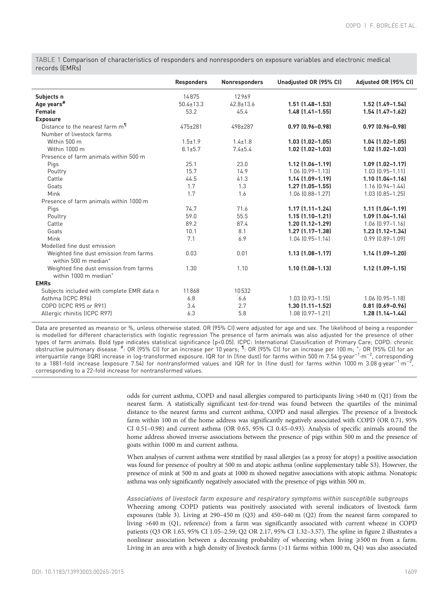<span id="page-4-0"></span>TABLE 1 Comparison of characteristics of responders and nonresponders on exposure variables and electronic medical records (EMRs)

|                                                                             | <b>Responders</b> | <b>Nonresponders</b> | Unadjusted OR (95% CI) | Adjusted OR (95% CI)   |
|-----------------------------------------------------------------------------|-------------------|----------------------|------------------------|------------------------|
| Subjects n                                                                  | 14875             | 12969                |                        |                        |
| Age years <sup>#</sup>                                                      | $50.4 \pm 13.3$   | $42.8 \pm 13.6$      | $1.51$ $(1.48 - 1.53)$ | $1.52$ $(1.49 - 1.54)$ |
| Female                                                                      | 53.2              | 45.4                 | $1.48$ $(1.41 - 1.55)$ | $1.54$ $(1.47 - 1.62)$ |
| <b>Exposure</b>                                                             |                   |                      |                        |                        |
| Distance to the nearest farm m <sup>11</sup>                                | $475 + 281$       | 498±287              | 0.97 (0.96-0.98)       | $0.97$ $(0.96 - 0.98)$ |
| Number of livestock farms                                                   |                   |                      |                        |                        |
| Within 500 m                                                                | $1.5 \pm 1.9$     | $1.4 \pm 1.8$        | $1.03$ $(1.02 - 1.05)$ | $1.04$ $(1.02 - 1.05)$ |
| Within 1000 m                                                               | $8.1 \pm 5.7$     | $7.4 + 5.4$          | $1.02$ $(1.02 - 1.03)$ | $1.02$ $(1.02 - 1.03)$ |
| Presence of farm animals within 500 m                                       |                   |                      |                        |                        |
| Pigs                                                                        | 25.1              | 23.0                 | $1.12$ $(1.06 - 1.19)$ | $1.09$ $(1.02 - 1.17)$ |
| Poultry                                                                     | 15.7              | 14.9                 | $1.06$ $[0.99 - 1.13]$ | $1.03$ $[0.95 - 1.11]$ |
| Cattle                                                                      | 44.5              | 41.3                 | $1.14$ $(1.09 - 1.19)$ | $1.10$ $(1.04 - 1.16)$ |
| Goats                                                                       | 1.7               | 1.3                  | $1.27$ $(1.05 - 1.55)$ | $1.16$ $[0.94 - 1.44]$ |
| Mink                                                                        | 1.7               | 1.6                  | $1.06$ $(0.88 - 1.27)$ | $1.03$ $(0.85 - 1.25)$ |
| Presence of farm animals within 1000 m                                      |                   |                      |                        |                        |
| Pigs                                                                        | 74.7              | 71.6                 | $1.17(1.11 - 1.24)$    | $1.11$ $(1.04 - 1.19)$ |
| Poultry                                                                     | 59.0              | 55.5                 | $1.15$ $(1.10 - 1.21)$ | $1.09$ $(1.04 - 1.16)$ |
| Cattle                                                                      | 89.2              | 87.4                 | $1.20$ $[1.12 - 1.29]$ | $1.06$ $[0.97 - 1.16]$ |
| Goats                                                                       | 10.1              | 8.1                  | $1.27$ $(1.17 - 1.38)$ | $1.23$ $(1.12 - 1.34)$ |
| Mink                                                                        | 7.1               | 6.9                  | $1.04$ $(0.95 - 1.14)$ | $0.99$ $(0.89 - 1.09)$ |
| Modelled fine dust emission                                                 |                   |                      |                        |                        |
| Weighted fine dust emission from farms<br>within 500 m median <sup>+</sup>  | 0.03              | 0.01                 | $1.13$ $(1.08 - 1.17)$ | 1.14 (1.09-1.20)       |
| Weighted fine dust emission from farms<br>within 1000 m median <sup>+</sup> | 1.30              | 1.10                 | $1.10$ $(1.08 - 1.13)$ | $1.12$ $(1.09 - 1.15)$ |
| <b>EMRs</b>                                                                 |                   |                      |                        |                        |
| Subjects included with complete EMR data n                                  | 11868             | 10532                |                        |                        |
| Asthma (ICPC R96)                                                           | 6.8               | 6.6                  | $1.03$ $[0.93 - 1.15]$ | 1.06 (0.95-1.18)       |
| COPD (ICPC R95 or R91)                                                      | 3.4               | 2.7                  | $1.30$ $(1.11 - 1.52)$ | $0.81$ $(0.69 - 0.96)$ |
| Allergic rhinitis (ICPC R97)                                                | 6.3               | 5.8                  | $1.08$ $[0.97 - 1.21]$ | $1.28$ $(1.14 - 1.44)$ |
|                                                                             |                   |                      |                        |                        |

Data are presented as mean±sp or %, unless otherwise stated. OR (95% CI) were adjusted for age and sex. The likelihood of being a responder is modelled for different characteristics with logistic regression The presence of farm animals was also adjusted for the presence of other types of farm animals. Bold type indicates statistical significance (p<0.05). ICPC: International Classification of Primary Care; COPD: chronic obstructive pulmonary disease. <sup>#</sup>: OR (95% CI) for an increase per 10 years; <sup>¶</sup>: OR (95% CI) for an increase per 100 m; \*: OR (95% CI) for an interquartile range (IQR) increase in log-transformed exposure. IQR for ln (fine dust) for farms within 500 m 7.54 g·year−<sup>1</sup> ·m−<sup>2</sup> , corresponding to a 1881-fold increase (exposure 7.54) for nontransformed values and IQR for ln (fine dust) for farms within 1000 m 3.08 g·year<sup>−1</sup>·m<sup>−2</sup> , corresponding to a 22-fold increase for nontransformed values.

> odds for current asthma, COPD and nasal allergies compared to participants living >640 m (Q1) from the nearest farm. A statistically significant test-for-trend was found between the quartiles of the minimal distance to the nearest farms and current asthma, COPD and nasal allergies. The presence of a livestock farm within 100 m of the home address was significantly negatively associated with COPD (OR 0.71, 95% CI 0.51–0.98) and current asthma (OR 0.65, 95% CI 0.45–0.93). Analysis of specific animals around the home address showed inverse associations between the presence of pigs within 500 m and the presence of goats within 1000 m and current asthma.

> When analyses of current asthma were stratified by nasal allergies (as a proxy for atopy) a positive association was found for presence of poultry at 500 m and atopic asthma (online supplementary table S3). However, the presence of mink at 500 m and goats at 1000 m showed negative associations with atopic asthma. Nonatopic asthma was only significantly negatively associated with the presence of pigs within 500 m.

#### Associations of livestock farm exposure and respiratory symptoms within susceptible subgroups

Wheezing among COPD patients was positively associated with several indicators of livestock farm exposures ([table 3\)](#page-6-0). Living at 290–450 m (Q3) and 450–640 m (Q2) from the nearest farm compared to living >640 m (Q1, reference) from a farm was significantly associated with current wheeze in COPD patients (Q3 OR 1.65, 95% CI 1.05–2.59; Q2 OR 2.17, 95% CI 1.32–3.57). The spline in [figure 2](#page-7-0) illustrates a nonlinear association between a decreasing probability of wheezing when living  $\geqslant 500$  m from a farm. Living in an area with a high density of livestock farms (>11 farms within 1000 m, Q4) was also associated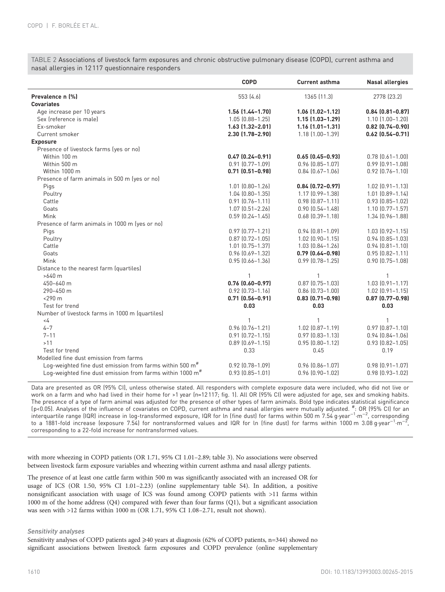<span id="page-5-0"></span>TABLE 2 Associations of livestock farm exposures and chronic obstructive pulmonary disease (COPD), current asthma and nasal allergies in 12 117 questionnaire responders

|                                                                       | <b>COPD</b>            | <b>Current asthma</b>  | <b>Nasal allergies</b> |
|-----------------------------------------------------------------------|------------------------|------------------------|------------------------|
| Prevalence n [%]                                                      | 553 (4.6)              | 1365 (11.3)            | 2778 (23.2)            |
| <b>Covariates</b>                                                     |                        |                        |                        |
| Age increase per 10 years                                             | 1.56 (1.44-1.70)       | $1.06$ $(1.02 - 1.12)$ | $0.84$ $(0.81 - 0.87)$ |
| Sex (reference is male)                                               | $1.05$ $(0.88 - 1.25)$ | $1.15(1.03 - 1.29)$    | $1.10$ $(1.00 - 1.20)$ |
| Ex-smoker                                                             | $1.63$ $(1.32 - 2.01)$ | $1.16$ $(1.01 - 1.31)$ | $0.82$ (0.74-0.90)     |
| Current smoker                                                        | 2.30 (1.78-2.90)       | $1.18$ $(1.00 - 1.39)$ | $0.62$ $(0.54 - 0.71)$ |
| <b>Exposure</b>                                                       |                        |                        |                        |
| Presence of livestock farms (yes or no)                               |                        |                        |                        |
| Within 100 m                                                          | $0.47$ $(0.24 - 0.91)$ | $0.65$ $(0.45 - 0.93)$ | $0.78$ $(0.61 - 1.00)$ |
| Within 500 m                                                          | $0.91$ $(0.77 - 1.09)$ | $0.96$ $(0.85 - 1.07)$ | $0.99$ $(0.91 - 1.08)$ |
| Within 1000 m                                                         | $0.71$ $(0.51 - 0.98)$ | $0.84$ $(0.67 - 1.06)$ | $0.92$ $[0.76 - 1.10]$ |
| Presence of farm animals in 500 m (yes or no)                         |                        |                        |                        |
| Pigs                                                                  | $1.01$ $(0.80 - 1.26)$ | $0.84$ $(0.72 - 0.97)$ | $1.02$ $(0.91 - 1.13)$ |
| Poultry                                                               | $1.04$ $(0.80 - 1.35)$ | 1.17 (0.99-1.38)       | $1.01$ $(0.89 - 1.14)$ |
| Cattle                                                                | $0.91$ $[0.76 - 1.11]$ | $0.98$ $(0.87 - 1.11)$ | $0.93$ $(0.85 - 1.02)$ |
| Goats                                                                 | $1.07$ $(0.51 - 2.26)$ | $0.90$ $(0.54 - 1.48)$ | $1.10$ $(0.77 - 1.57)$ |
| Mink                                                                  | $0.59$ $(0.24 - 1.45)$ | $0.68$ $[0.39 - 1.18]$ | 1.34 (0.96-1.88)       |
| Presence of farm animals in 1000 m (yes or no)                        |                        |                        |                        |
| Pigs                                                                  | $0.97$ $(0.77 - 1.21)$ | $0.94$ $(0.81 - 1.09)$ | $1.03$ $[0.92 - 1.15]$ |
| Poultry                                                               | $0.87$ $[0.72 - 1.05]$ | $1.02$ $[0.90 - 1.15]$ | $0.94$ $(0.85 - 1.03)$ |
| Cattle                                                                | $1.01$ $(0.75 - 1.37)$ | $1.03$ $[0.84 - 1.26]$ | $0.94$ $(0.81 - 1.10)$ |
| Goats                                                                 | $0.96$ $(0.69 - 1.32)$ | $0.79(0.64 - 0.98)$    | $0.95$ $(0.82 - 1.11)$ |
| Mink                                                                  | $0.95$ $[0.66 - 1.36]$ | $0.99$ $(0.78 - 1.25)$ | $0.90$ $(0.75 - 1.08)$ |
| Distance to the nearest farm (quartiles)                              |                        |                        |                        |
| $>640$ m                                                              | 1                      | 1                      | 1                      |
| 450-640 m                                                             | $0.76$ $(0.60 - 0.97)$ | $0.87$ $(0.75 - 1.03)$ | $1.03$ $[0.91 - 1.17]$ |
| 290-450 m                                                             | $0.92$ $[0.73 - 1.16]$ | $0.86$ $(0.73 - 1.00)$ | $1.02$ $(0.91 - 1.15)$ |
| < 290 m                                                               | $0.71$ $(0.56 - 0.91)$ | $0.83$ $(0.71 - 0.98)$ | $0.87$ $(0.77 - 0.98)$ |
| Test for trend                                                        | 0.03                   | 0.03                   | 0.03                   |
| Number of livestock farms in 1000 m (quartiles)                       |                        |                        |                        |
| $<$ 4                                                                 | 1                      | 1                      | 1                      |
| $4 - 7$                                                               | $0.96$ $[0.76 - 1.21]$ | $1.02$ $(0.87 - 1.19)$ | $0.97$ $(0.87 - 1.10)$ |
| $7 - 11$                                                              | $0.91$ $(0.72 - 1.15)$ | $0.97$ $(0.83 - 1.13)$ | $0.94$ $(0.84 - 1.06)$ |
| $>11$                                                                 | $0.89$ $(0.69 - 1.15)$ | $0.95$ $(0.80 - 1.12)$ | $0.93$ $(0.82 - 1.05)$ |
| Test for trend                                                        | 0.33                   | 0.45                   | 0.19                   |
| Modelled fine dust emission from farms                                |                        |                        |                        |
| Log-weighted fine dust emission from farms within 500 m <sup>#</sup>  | $0.92$ $[0.78 - 1.09]$ | $0.96$ $[0.86 - 1.07]$ | $0.98$ $[0.91 - 1.07]$ |
| Log-weighted fine dust emission from farms within 1000 m <sup>#</sup> | $0.93$ $(0.85 - 1.01)$ | $0.96$ $(0.90 - 1.02)$ | $0.98$ $(0.93 - 1.02)$ |

Data are presented as OR (95% CI), unless otherwise stated. All responders with complete exposure data were included, who did not live or work on a farm and who had lived in their home for >1 year (n=12117; [fig. 1](#page-2-0)). All OR (95% CI) were adjusted for age, sex and smoking habits. The presence of a type of farm animal was adjusted for the presence of other types of farm animals. Bold type indicates statistical significance (p<0.05). Analyses of the influence of covariates on COPD, current asthma and nasal allergies were mutually adjusted. #: OR (95% CI) for an interquartile range (IQR) increase in log-transformed exposure, IQR for ln (fine dust) for farms within 500 m 7.54 g·year−<sup>1</sup> ·m−<sup>2</sup> , corresponding to a 1881-fold increase (exposure 7.54) for nontransformed values and IQR for ln (fine dust) for farms within 1000 m 3.08 g·year<sup>−1</sup>·m<sup>−2</sup>, corresponding to a 22-fold increase for nontransformed values.

with more wheezing in COPD patients (OR 1.71, 95% CI 1.01–2.89; [table 3](#page-6-0)). No associations were observed between livestock farm exposure variables and wheezing within current asthma and nasal allergy patients.

The presence of at least one cattle farm within 500 m was significantly associated with an increased OR for usage of ICS (OR 1.50, 95% CI 1.01–2.23) (online supplementary table S4). In addition, a positive nonsignificant association with usage of ICS was found among COPD patients with >11 farms within 1000 m of the home address (Q4) compared with fewer than four farms (Q1), but a significant association was seen with >12 farms within 1000 m (OR 1.71, 95% CI 1.08–2.71, result not shown).

# Sensitivity analyses

Sensitivity analyses of COPD patients aged  $\geq 40$  years at diagnosis (62% of COPD patients, n=344) showed no significant associations between livestock farm exposures and COPD prevalence (online supplementary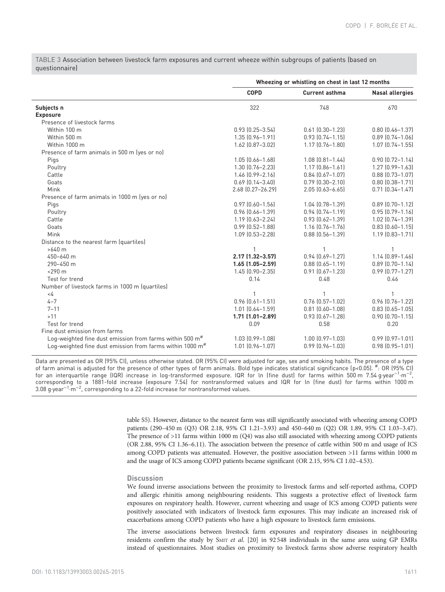<span id="page-6-0"></span>TABLE 3 Association between livestock farm exposures and current wheeze within subgroups of patients (based on questionnaire)

|                                                                       | Wheezing or whistling on chest in last 12 months |                        |                        |  |
|-----------------------------------------------------------------------|--------------------------------------------------|------------------------|------------------------|--|
|                                                                       | <b>COPD</b>                                      | <b>Current asthma</b>  | <b>Nasal allergies</b> |  |
| Subjects n                                                            | 322                                              | 748                    | 670                    |  |
| <b>Exposure</b>                                                       |                                                  |                        |                        |  |
| Presence of livestock farms                                           |                                                  |                        |                        |  |
| Within 100 m                                                          | $0.93$ $(0.25 - 3.54)$                           | $0.61$ $(0.30 - 1.23)$ | $0.80$ $[0.46 - 1.37]$ |  |
| Within 500 m                                                          | $1.35$ $[0.96 - 1.91]$                           | $0.93$ $[0.74 - 1.15]$ | $0.89$ $(0.74 - 1.06)$ |  |
| Within 1000 m                                                         | $1.62$ $[0.87 - 3.02]$                           | $1.17$ $[0.76 - 1.80]$ | $1.07$ $(0.74 - 1.55)$ |  |
| Presence of farm animals in 500 m (yes or no)                         |                                                  |                        |                        |  |
| Pigs                                                                  | $1.05$ $[0.66 - 1.68]$                           | $1.08$ $[0.81 - 1.44]$ | $0.90$ $(0.72 - 1.14)$ |  |
| Poultry                                                               | $1.30$ $[0.76 - 2.23]$                           | $1.17$ $[0.86 - 1.61]$ | $1.27$ $[0.99 - 1.63]$ |  |
| Cattle                                                                | $1.46$ $[0.99 - 2.16]$                           | $0.84$ $(0.67 - 1.07)$ | $0.88$ $(0.73 - 1.07)$ |  |
| Goats                                                                 | $0.69$ $(0.14 - 3.40)$                           | $0.79$ $(0.30 - 2.10)$ | $0.80$ $(0.38 - 1.71)$ |  |
| Mink                                                                  | 2.68 (0.27-26.29)                                | $2.05$ $[0.63 - 6.65]$ | $0.71$ $(0.34 - 1.47)$ |  |
| Presence of farm animals in 1000 m (yes or no)                        |                                                  |                        |                        |  |
| Pigs                                                                  | $0.97$ $[0.60 - 1.56]$                           | $1.04$ $(0.78 - 1.39)$ | $0.89$ $(0.70 - 1.12)$ |  |
| Poultry                                                               | $0.96$ $[0.66 - 1.39]$                           | $0.94$ $(0.74 - 1.19)$ | $0.95$ $[0.79 - 1.16]$ |  |
| Cattle                                                                | $1.19$ $[0.63 - 2.24]$                           | $0.93$ $[0.62 - 1.39]$ | $1.02$ $[0.74 - 1.39]$ |  |
| Goats                                                                 | $0.99$ $(0.52 - 1.88)$                           | $1.16$ $[0.76 - 1.76]$ | $0.83$ $(0.60 - 1.15)$ |  |
| Mink                                                                  | $1.09$ $(0.53 - 2.28)$                           | $0.88$ $[0.56 - 1.39]$ | $1.19$ $(0.83 - 1.71)$ |  |
| Distance to the nearest farm (quartiles)                              |                                                  |                        |                        |  |
| $>640$ m                                                              | $\mathbf{1}$                                     | $\mathbf{1}$           | $\mathbf{1}$           |  |
| 450-640 m                                                             | 2.17 (1.32-3.57)                                 | $0.94$ $(0.69 - 1.27)$ | $1.14$ $[0.89 - 1.46]$ |  |
| 290-450 m                                                             | $1.65$ $(1.05 - 2.59)$                           | $0.88$ $(0.65 - 1.19)$ | $0.89$ $(0.70 - 1.14)$ |  |
| $<$ 290 $m$                                                           | 1.45 (0.90-2.35)                                 | $0.91$ $[0.67 - 1.23]$ | $0.99$ $[0.77 - 1.27]$ |  |
| Test for trend                                                        | 0.14                                             | 0.48                   | 0.46                   |  |
| Number of livestock farms in 1000 m (quartiles)                       |                                                  |                        |                        |  |
| $<$ 4                                                                 | $\mathbf{1}$                                     | $\mathbf{1}$           | 1                      |  |
| $4 - 7$                                                               | $0.96$ $[0.61 - 1.51]$                           | $0.76$ $[0.57 - 1.02]$ | $0.96$ $[0.76 - 1.22]$ |  |
| $7 - 11$                                                              | $1.01$ $[0.64 - 1.59]$                           | $0.81$ $[0.60 - 1.08]$ | $0.83$ $(0.65 - 1.05)$ |  |
| $>11$                                                                 | 1.71 (1.01-2.89)                                 | $0.93$ $[0.67 - 1.28]$ | $0.90$ $(0.70 - 1.15)$ |  |
| Test for trend                                                        | 0.09                                             | 0.58                   | 0.20                   |  |
| Fine dust emission from farms                                         |                                                  |                        |                        |  |
| Log-weighted fine dust emission from farms within 500 m <sup>#</sup>  | 1.03 (0.99-1.08)                                 | $1.00$ $[0.97 - 1.03]$ | $0.99$ $(0.97 - 1.01)$ |  |
| Log-weighted fine dust emission from farms within 1000 m <sup>#</sup> | $1.01$ $[0.96 - 1.07]$                           | $0.99$ $[0.96 - 1.03]$ | $0.98$ $(0.95 - 1.01)$ |  |

Data are presented as OR (95% CI), unless otherwise stated. OR (95% CI) were adjusted for age, sex and smoking habits. The presence of a type of farm animal is adjusted for the presence of other types of farm animals. Bold type indicates statistical significance (p<0.05). <sup>#</sup>: OR (95% CI) for an interquartile range (IQR) increase in log-transformed exposure. IQR for In (fine dust) for farms within 500 m 7.54 g·year<sup>−1</sup>·m<sup>−2</sup>, corresponding to a 1881-fold increase (exposure 7.54) for nontransformed values and IQR for ln (fine dust) for farms within 1000 m 3.08 g·year−<sup>1</sup> ·m−<sup>2</sup> , corresponding to a 22-fold increase for nontransformed values.

> table S5). However, distance to the nearest farm was still significantly associated with wheezing among COPD patients (290–450 m (Q3) OR 2.18, 95% CI 1.21–3.93) and 450–640 m (Q2) OR 1.89, 95% CI 1.03–3.47). The presence of >11 farms within 1000 m (Q4) was also still associated with wheezing among COPD patients (OR 2.88, 95% CI 1.36–6.11). The association between the presence of cattle within 500 m and usage of ICS among COPD patients was attenuated. However, the positive association between >11 farms within 1000 m and the usage of ICS among COPD patients became significant (OR 2.15, 95% CI 1.02–4.53).

# **Discussion**

We found inverse associations between the proximity to livestock farms and self-reported asthma, COPD and allergic rhinitis among neighbouring residents. This suggests a protective effect of livestock farm exposures on respiratory health. However, current wheezing and usage of ICS among COPD patients were positively associated with indicators of livestock farm exposures. This may indicate an increased risk of exacerbations among COPD patients who have a high exposure to livestock farm emissions.

The inverse associations between livestock farm exposures and respiratory diseases in neighbouring residents confirm the study by SMIT et al. [\[20\]](#page-9-0) in 92548 individuals in the same area using GP EMRs instead of questionnaires. Most studies on proximity to livestock farms show adverse respiratory health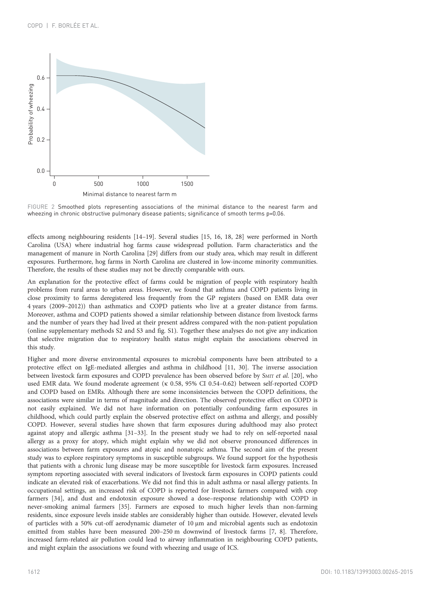<span id="page-7-0"></span>

FIGURE 2 Smoothed plots representing associations of the minimal distance to the nearest farm and wheezing in chronic obstructive pulmonary disease patients; significance of smooth terms p=0.06.

effects among neighbouring residents [[14](#page-9-0)–[19\]](#page-9-0). Several studies [\[15, 16](#page-9-0), [18, 28\]](#page-9-0) were performed in North Carolina (USA) where industrial hog farms cause widespread pollution. Farm characteristics and the management of manure in North Carolina [[29](#page-9-0)] differs from our study area, which may result in different exposures. Furthermore, hog farms in North Carolina are clustered in low-income minority communities. Therefore, the results of these studies may not be directly comparable with ours.

An explanation for the protective effect of farms could be migration of people with respiratory health problems from rural areas to urban areas. However, we found that asthma and COPD patients living in close proximity to farms deregistered less frequently from the GP registers (based on EMR data over 4 years (2009–2012)) than asthmatics and COPD patients who live at a greater distance from farms. Moreover, asthma and COPD patients showed a similar relationship between distance from livestock farms and the number of years they had lived at their present address compared with the non-patient population (online supplementary methods S2 and S3 and fig. S1). Together these analyses do not give any indication that selective migration due to respiratory health status might explain the associations observed in this study.

Higher and more diverse environmental exposures to microbial components have been attributed to a protective effect on IgE-mediated allergies and asthma in childhood [\[11, 30](#page-9-0)]. The inverse association between livestock farm exposures and COPD prevalence has been observed before by SMIT et al. [\[20\]](#page-9-0), who used EMR data. We found moderate agreement (κ 0.58, 95% CI 0.54–0.62) between self-reported COPD and COPD based on EMRs. Although there are some inconsistencies between the COPD definitions, the associations were similar in terms of magnitude and direction. The observed protective effect on COPD is not easily explained. We did not have information on potentially confounding farm exposures in childhood, which could partly explain the observed protective effect on asthma and allergy, and possibly COPD. However, several studies have shown that farm exposures during adulthood may also protect against atopy and allergic asthma [[31](#page-9-0)–[33](#page-9-0)]. In the present study we had to rely on self-reported nasal allergy as a proxy for atopy, which might explain why we did not observe pronounced differences in associations between farm exposures and atopic and nonatopic asthma. The second aim of the present study was to explore respiratory symptoms in susceptible subgroups. We found support for the hypothesis that patients with a chronic lung disease may be more susceptible for livestock farm exposures. Increased symptom reporting associated with several indicators of livestock farm exposures in COPD patients could indicate an elevated risk of exacerbations. We did not find this in adult asthma or nasal allergy patients. In occupational settings, an increased risk of COPD is reported for livestock farmers compared with crop farmers [\[34\]](#page-9-0), and dust and endotoxin exposure showed a dose–response relationship with COPD in never-smoking animal farmers [[35\]](#page-9-0). Farmers are exposed to much higher levels than non-farming residents, since exposure levels inside stables are considerably higher than outside. However, elevated levels of particles with a 50% cut-off aerodynamic diameter of 10 μm and microbial agents such as endotoxin emitted from stables have been measured 200–250 m downwind of livestock farms [\[7, 8\]](#page-8-0). Therefore, increased farm-related air pollution could lead to airway inflammation in neighbouring COPD patients, and might explain the associations we found with wheezing and usage of ICS.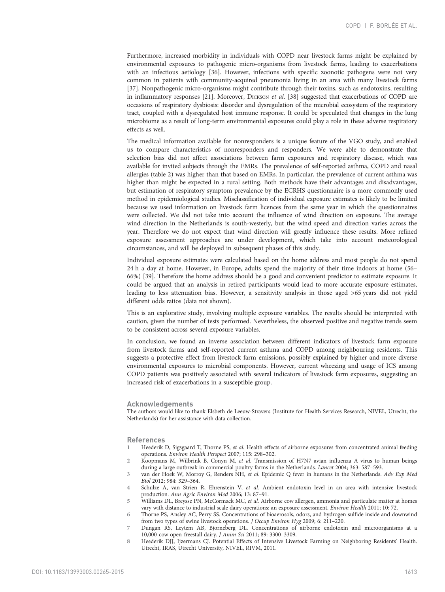<span id="page-8-0"></span>Furthermore, increased morbidity in individuals with COPD near livestock farms might be explained by environmental exposures to pathogenic micro-organisms from livestock farms, leading to exacerbations with an infectious aetiology [[36](#page-9-0)]. However, infections with specific zoonotic pathogens were not very common in patients with community-acquired pneumonia living in an area with many livestock farms [\[37\]](#page-9-0). Nonpathogenic micro-organisms might contribute through their toxins, such as endotoxins, resulting in inflammatory responses [[21\]](#page-9-0). Moreover, DICKSON et al. [\[38\]](#page-9-0) suggested that exacerbations of COPD are occasions of respiratory dysbiosis: disorder and dysregulation of the microbial ecosystem of the respiratory tract, coupled with a dysregulated host immune response. It could be speculated that changes in the lung microbiome as a result of long-term environmental exposures could play a role in these adverse respiratory effects as well.

The medical information available for nonresponders is a unique feature of the VGO study, and enabled us to compare characteristics of nonresponders and responders. We were able to demonstrate that selection bias did not affect associations between farm exposures and respiratory disease, which was available for invited subjects through the EMRs. The prevalence of self-reported asthma, COPD and nasal allergies ([table 2](#page-5-0)) was higher than that based on EMRs. In particular, the prevalence of current asthma was higher than might be expected in a rural setting. Both methods have their advantages and disadvantages, but estimation of respiratory symptom prevalence by the ECRHS questionnaire is a more commonly used method in epidemiological studies. Misclassification of individual exposure estimates is likely to be limited because we used information on livestock farm licences from the same year in which the questionnaires were collected. We did not take into account the influence of wind direction on exposure. The average wind direction in the Netherlands is south-westerly, but the wind speed and direction varies across the year. Therefore we do not expect that wind direction will greatly influence these results. More refined exposure assessment approaches are under development, which take into account meteorological circumstances, and will be deployed in subsequent phases of this study.

Individual exposure estimates were calculated based on the home address and most people do not spend 24 h a day at home. However, in Europe, adults spend the majority of their time indoors at home (56– 66%) [\[39\]](#page-9-0). Therefore the home address should be a good and convenient predictor to estimate exposure. It could be argued that an analysis in retired participants would lead to more accurate exposure estimates, leading to less attenuation bias. However, a sensitivity analysis in those aged >65 years did not yield different odds ratios (data not shown).

This is an explorative study, involving multiple exposure variables. The results should be interpreted with caution, given the number of tests performed. Nevertheless, the observed positive and negative trends seem to be consistent across several exposure variables.

In conclusion, we found an inverse association between different indicators of livestock farm exposure from livestock farms and self-reported current asthma and COPD among neighbouring residents. This suggests a protective effect from livestock farm emissions, possibly explained by higher and more diverse environmental exposures to microbial components. However, current wheezing and usage of ICS among COPD patients was positively associated with several indicators of livestock farm exposures, suggesting an increased risk of exacerbations in a susceptible group.

## Acknowledgements

The authors would like to thank Elsbeth de Leeuw-Stravers (Institute for Health Services Research, NIVEL, Utrecht, the Netherlands) for her assistance with data collection.

#### References

- 1 Heederik D, Sigsgaard T, Thorne PS, et al. Health effects of airborne exposures from concentrated animal feeding operations. Environ Health Perspect 2007; 115: 298–302.
- 2 Koopmans M, Wilbrink B, Conyn M, et al. Transmission of H7N7 avian influenza A virus to human beings during a large outbreak in commercial poultry farms in the Netherlands. Lancet 2004; 363: 587–593.
- 3 van der Hoek W, Morroy G, Renders NH, et al. Epidemic Q fever in humans in the Netherlands. Adv Exp Med Biol 2012; 984: 329–364.
- 4 Schulze A, van Strien R, Ehrenstein V, et al. Ambient endotoxin level in an area with intensive livestock production. Ann Agric Environ Med 2006; 13: 87–91.
- 5 Williams DL, Breysse PN, McCormack MC, et al. Airborne cow allergen, ammonia and particulate matter at homes vary with distance to industrial scale dairy operations: an exposure assessment. Environ Health 2011; 10: 72.
- 6 Thorne PS, Ansley AC, Perry SS. Concentrations of bioaerosols, odors, and hydrogen sulfide inside and downwind from two types of swine livestock operations. J Occup Environ Hyg 2009; 6: 211–220.
- 7 Dungan RS, Leytem AB, Bjorneberg DL. Concentrations of airborne endotoxin and microorganisms at a 10,000-cow open-freestall dairy. J Anim Sci 2011; 89: 3300–3309.
- 8 Heederik DJJ, Ijzermans CJ. Potential Effects of Intensive Livestock Farming on Neighboring Residents' Health. Utrecht, IRAS, Utrecht University, NIVEL, RIVM, 2011.